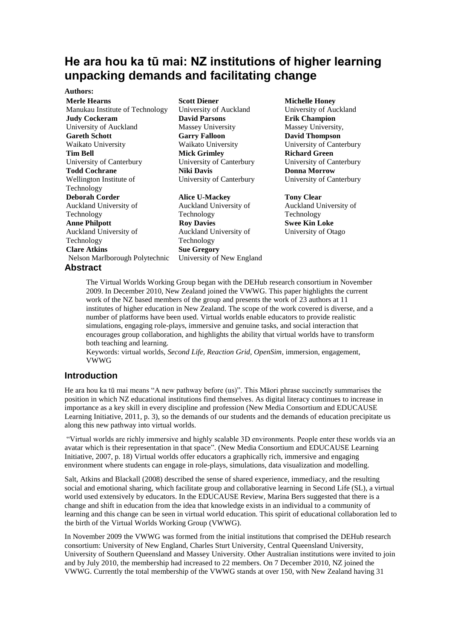# **He ara hou ka tū mai: NZ institutions of higher learning unpacking demands and facilitating change**

#### **Authors:**

**Abstract Merle Hearns** Manukau Institute of Technology **Judy Cockeram** University of Auckland **Gareth Schott** Waikato University **Tim Bell** University of Canterbury **Todd Cochrane** Wellington Institute of Technology **Deborah Corder** Auckland University of Technology **Anne Philpott** Auckland University of Technology **Clare Atkins** Nelson Marlborough Polytechnic

#### **Scott Diener**

University of Auckland **David Parsons** Massey University **Garry Falloon** Waikato University **Mick Grimley**  University of Canterbury **Niki Davis** University of Canterbury

## **Alice U-Mackey**

Auckland University of Technology **Roy Davies** Auckland University of Technology **Sue Gregory** University of New England

#### **Michelle Honey**

University of Auckland **Erik Champion** Massey University, **David Thompson** University of Canterbury **Richard Green** University of Canterbury **Donna Morrow** University of Canterbury

**Tony Clear** Auckland University of Technology **Swee Kin Loke** University of Otago

The Virtual Worlds Working Group began with the DEHub research consortium in November 2009. In December 2010, New Zealand joined the VWWG. This paper highlights the current work of the NZ based members of the group and presents the work of 23 authors at 11 institutes of higher education in New Zealand. The scope of the work covered is diverse, and a number of platforms have been used. Virtual worlds enable educators to provide realistic simulations, engaging role-plays, immersive and genuine tasks, and social interaction that encourages group collaboration, and highlights the ability that virtual worlds have to transform both teaching and learning.

Keywords: virtual worlds, *Second Life, Reaction Grid, OpenSim*, immersion, engagement, VWWG

# **Introduction**

He ara hou ka tū mai means "A new pathway before (us)". This Māori phrase succinctly summarises the position in which NZ educational institutions find themselves. As digital literacy continues to increase in importance as a key skill in every discipline and profession (New Media Consortium and EDUCAUSE Learning Initiative, 2011, p. 3), so the demands of our students and the demands of education precipitate us along this new pathway into virtual worlds.

"Virtual worlds are richly immersive and highly scalable 3D environments. People enter these worlds via an avatar which is their representation in that space". (New Media Consortium and EDUCAUSE Learning Initiative, 2007, p. 18) Virtual worlds offer educators a graphically rich, immersive and engaging environment where students can engage in role-plays, simulations, data visualization and modelling.

Salt, Atkins and Blackall (2008) described the sense of shared experience, immediacy, and the resulting social and emotional sharing, which facilitate group and collaborative learning in Second Life (SL), a virtual world used extensively by educators. In the EDUCAUSE Review, Marina Bers suggested that there is a change and shift in education from the idea that knowledge exists in an individual to a community of learning and this change can be seen in virtual world education. This spirit of educational collaboration led to the birth of the Virtual Worlds Working Group (VWWG).

In November 2009 the VWWG was formed from the initial institutions that comprised the DEHub research consortium: University of New England, Charles Sturt University, Central Queensland University, University of Southern Queensland and Massey University. Other Australian institutions were invited to join and by July 2010, the membership had increased to 22 members. On 7 December 2010, NZ joined the VWWG. Currently the total membership of the VWWG stands at over 150, with New Zealand having 31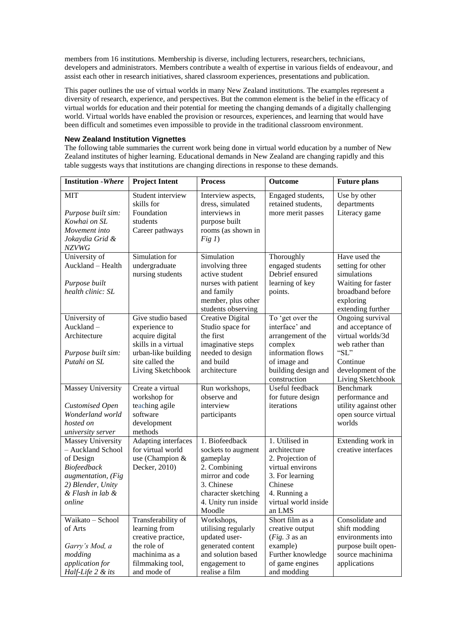members from 16 institutions. Membership is diverse, including lecturers, researchers, technicians, developers and administrators. Members contribute a wealth of expertise in various fields of endeavour, and assist each other in research initiatives, shared classroom experiences, presentations and publication.

This paper outlines the use of virtual worlds in many New Zealand institutions. The examples represent a diversity of research, experience, and perspectives. But the common element is the belief in the efficacy of virtual worlds for education and their potential for meeting the changing demands of a digitally challenging world. Virtual worlds have enabled the provision or resources, experiences, and learning that would have been difficult and sometimes even impossible to provide in the traditional classroom environment.

# **New Zealand Institution Vignettes**

The following table summaries the current work being done in virtual world education by a number of New Zealand institutes of higher learning. Educational demands in New Zealand are changing rapidly and this table suggests ways that institutions are changing directions in response to these demands.

| <b>Institution</b> - Where                                                                                                                         | <b>Project Intent</b>                                                                                                                       | <b>Process</b>                                                                                                                                            | Outcome                                                                                                                                                | <b>Future plans</b>                                                                                                                              |
|----------------------------------------------------------------------------------------------------------------------------------------------------|---------------------------------------------------------------------------------------------------------------------------------------------|-----------------------------------------------------------------------------------------------------------------------------------------------------------|--------------------------------------------------------------------------------------------------------------------------------------------------------|--------------------------------------------------------------------------------------------------------------------------------------------------|
| <b>MIT</b><br>Purpose built sim:<br>Kowhai on SL<br>Movement into<br>Jokaydia Grid &<br><b>NZVWG</b>                                               | Student interview<br>skills for<br>Foundation<br>students<br>Career pathways                                                                | Interview aspects,<br>dress, simulated<br>interviews in<br>purpose built<br>rooms (as shown in<br>Fig 1)                                                  | Engaged students,<br>retained students,<br>more merit passes                                                                                           | Use by other<br>departments<br>Literacy game                                                                                                     |
| University of<br>Auckland - Health<br>Purpose built<br>health clinic: SL                                                                           | Simulation for<br>undergraduate<br>nursing students                                                                                         | Simulation<br>involving three<br>active student<br>nurses with patient<br>and family<br>member, plus other<br>students observing                          | Thoroughly<br>engaged students<br>Debrief ensured<br>learning of key<br>points.                                                                        | Have used the<br>setting for other<br>simulations<br>Waiting for faster<br>broadband before<br>exploring<br>extending further                    |
| University of<br>Auckland-<br>Architecture<br>Purpose built sim:<br>Putahi on SL                                                                   | Give studio based<br>experience to<br>acquire digital<br>skills in a virtual<br>urban-like building<br>site called the<br>Living Sketchbook | Creative Digital<br>Studio space for<br>the first<br>imaginative steps<br>needed to design<br>and build<br>architecture                                   | To 'get over the<br>interface' and<br>arrangement of the<br>complex<br>information flows<br>of image and<br>building design and<br>construction        | Ongoing survival<br>and acceptance of<br>virtual worlds/3d<br>web rather than<br>" $SL$ "<br>Continue<br>development of the<br>Living Sketchbook |
| Massey University<br><b>Customised Open</b><br>Wonderland world<br>hosted on<br>university server                                                  | Create a virtual<br>workshop for<br>teaching agile<br>software<br>development<br>methods                                                    | Run workshops,<br>observe and<br>interview<br>participants                                                                                                | Useful feedback<br>for future design<br>iterations                                                                                                     | <b>Benchmark</b><br>performance and<br>utility against other<br>open source virtual<br>worlds                                                    |
| <b>Massey University</b><br>- Auckland School<br>of Design<br>Biofeedback<br>augmentation, (Fig<br>2) Blender, Unity<br>& Flash in lab &<br>online | <b>Adapting interfaces</b><br>for virtual world<br>use (Champion &<br>Decker, 2010)                                                         | 1. Biofeedback<br>sockets to augment<br>gameplay<br>2. Combining<br>mirror and code<br>3. Chinese<br>character sketching<br>4. Unity run inside<br>Moodle | 1. Utilised in<br>architecture<br>2. Projection of<br>virtual environs<br>3. For learning<br>Chinese<br>4. Running a<br>virtual world inside<br>an LMS | Extending work in<br>creative interfaces                                                                                                         |
| Waikato - School<br>of Arts<br>Garry's Mod, a<br>modding<br>application for<br>Half-Life 2 & its                                                   | Transferability of<br>learning from<br>creative practice,<br>the role of<br>machinima as a<br>filmmaking tool,<br>and mode of               | Workshops,<br>utilising regularly<br>updated user-<br>generated content<br>and solution based<br>engagement to<br>realise a film                          | Short film as a<br>creative output<br>( <i>Fig.</i> $3$ as an<br>example)<br>Further knowledge<br>of game engines<br>and modding                       | Consolidate and<br>shift modding<br>environments into<br>purpose built open-<br>source machinima<br>applications                                 |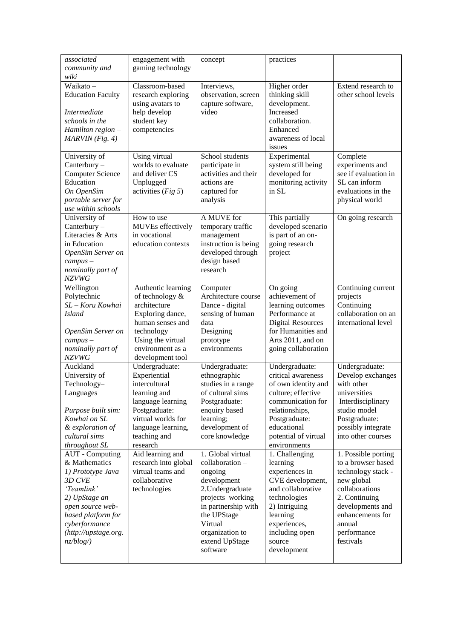| associated<br>community and<br>wiki                                                                                                                                                                  | engagement with<br>gaming technology                                                                                                                                          | concept                                                                                                                                                                                                 | practices                                                                                                                                                                                        |                                                                                                                                                                                                |
|------------------------------------------------------------------------------------------------------------------------------------------------------------------------------------------------------|-------------------------------------------------------------------------------------------------------------------------------------------------------------------------------|---------------------------------------------------------------------------------------------------------------------------------------------------------------------------------------------------------|--------------------------------------------------------------------------------------------------------------------------------------------------------------------------------------------------|------------------------------------------------------------------------------------------------------------------------------------------------------------------------------------------------|
| Waikato-<br><b>Education Faculty</b><br><i>Intermediate</i><br>schools in the<br>Hamilton region -<br>MARVIN (Fig. 4)                                                                                | Classroom-based<br>research exploring<br>using avatars to<br>help develop<br>student key<br>competencies                                                                      | Interviews,<br>observation, screen<br>capture software,<br>video                                                                                                                                        | Higher order<br>thinking skill<br>development.<br>Increased<br>collaboration.<br>Enhanced<br>awareness of local<br>issues                                                                        | Extend research to<br>other school levels                                                                                                                                                      |
| University of<br>Canterbury -<br><b>Computer Science</b><br>Education<br>On OpenSim<br>portable server for<br>use within schools                                                                     | Using virtual<br>worlds to evaluate<br>and deliver CS<br>Unplugged<br>activities ( <i>Fig 5</i> )                                                                             | School students<br>participate in<br>activities and their<br>actions are<br>captured for<br>analysis                                                                                                    | Experimental<br>system still being<br>developed for<br>monitoring activity<br>in SL                                                                                                              | Complete<br>experiments and<br>see if evaluation in<br>SL can inform<br>evaluations in the<br>physical world                                                                                   |
| University of<br>Canterbury -<br>Literacies & Arts<br>in Education<br>OpenSim Server on<br>$campus -$<br>nominally part of<br><b>NZVWG</b>                                                           | How to use<br>MUVEs effectively<br>in vocational<br>education contexts                                                                                                        | A MUVE for<br>temporary traffic<br>management<br>instruction is being<br>developed through<br>design based<br>research                                                                                  | This partially<br>developed scenario<br>is part of an on-<br>going research<br>project                                                                                                           | On going research                                                                                                                                                                              |
| Wellington<br>Polytechnic<br>SL-Koru Kowhai<br><b>Island</b><br>OpenSim Server on<br>$campus -$<br>nominally part of<br><b>NZVWG</b>                                                                 | Authentic learning<br>of technology $\&$<br>architecture<br>Exploring dance,<br>human senses and<br>technology<br>Using the virtual<br>environment as a<br>development tool   | Computer<br>Architecture course<br>Dance - digital<br>sensing of human<br>data<br>Designing<br>prototype<br>environments                                                                                | On going<br>achievement of<br>learning outcomes<br>Performance at<br><b>Digital Resources</b><br>for Humanities and<br>Arts 2011, and on<br>going collaboration                                  | Continuing current<br>projects<br>Continuing<br>collaboration on an<br>international level                                                                                                     |
| Auckland<br>University of<br>Technology-<br>Languages<br>Purpose built sim:<br>Kowhai on SL<br>& exploration of<br>cultural sims<br>throughout SL                                                    | Undergraduate:<br>Experiential<br>intercultural<br>learning and<br>language learning<br>Postgraduate:<br>virtual worlds for<br>language learning,<br>teaching and<br>research | Undergraduate:<br>ethnographic<br>studies in a range<br>of cultural sims<br>Postgraduate:<br>enquiry based<br>learning;<br>development of<br>core knowledge                                             | Undergraduate:<br>critical awareness<br>of own identity and<br>culture; effective<br>communication for<br>relationships,<br>Postgraduate:<br>educational<br>potential of virtual<br>environments | Undergraduate:<br>Develop exchanges<br>with other<br>universities<br>Interdisciplinary<br>studio model<br>Postgraduate:<br>possibly integrate<br>into other courses                            |
| <b>AUT</b> - Computing<br>& Mathematics<br>1) Prototype Java<br>3D CVE<br>'Teamlink'<br>2) UpStage an<br>open source web-<br>based platform for<br>cyberformance<br>(http://upstage.org.<br>nz/blog/ | Aid learning and<br>research into global<br>virtual teams and<br>collaborative<br>technologies                                                                                | 1. Global virtual<br>collaboration-<br>ongoing<br>development<br>2. Undergraduate<br>projects working<br>in partnership with<br>the UPStage<br>Virtual<br>organization to<br>extend UpStage<br>software | 1. Challenging<br>learning<br>experiences in<br>CVE development,<br>and collaborative<br>technologies<br>2) Intriguing<br>learning<br>experiences,<br>including open<br>source<br>development    | 1. Possible porting<br>to a browser based<br>technology stack -<br>new global<br>collaborations<br>2. Continuing<br>developments and<br>enhancements for<br>annual<br>performance<br>festivals |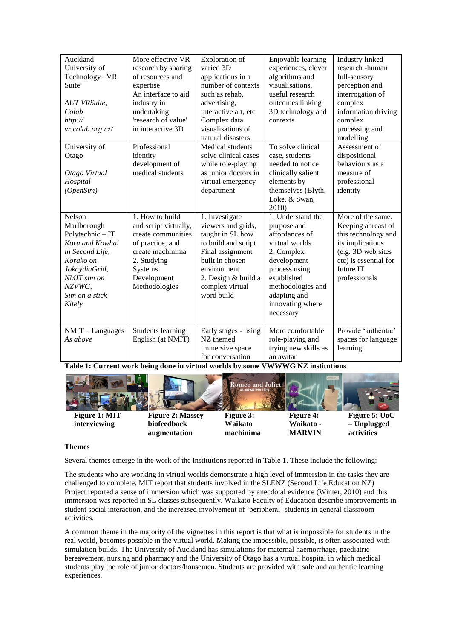| Auckland            | More effective VR        | Exploration of       | Enjoyable learning   | Industry linked       |
|---------------------|--------------------------|----------------------|----------------------|-----------------------|
| University of       | research by sharing      | varied 3D            | experiences, clever  | research -human       |
| Technology- VR      | of resources and         | applications in a    | algorithms and       | full-sensory          |
| Suite               | expertise                | number of contexts   | visualisations,      | perception and        |
|                     | An interface to aid      | such as rehab,       | useful research      | interrogation of      |
| <b>AUT VRSuite,</b> | industry in              | advertising,         | outcomes linking     | complex               |
| Colab               | undertaking              | interactive art, etc | 3D technology and    | information driving   |
| http://             | 'research of value'      | Complex data         | contexts             | complex               |
| vr.colab.org.nz/    | in interactive 3D        | visualisations of    |                      | processing and        |
|                     |                          | natural disasters    |                      | modelling             |
| University of       | Professional             | Medical students     | To solve clinical    | Assessment of         |
| Otago               | identity                 | solve clinical cases | case, students       | dispositional         |
|                     | development of           | while role-playing   | needed to notice     | behaviours as a       |
| Otago Virtual       | medical students         | as junior doctors in | clinically salient   | measure of            |
| Hospital            |                          | virtual emergency    | elements by          | professional          |
| (OpenSim)           |                          | department           | themselves (Blyth,   | identity              |
|                     |                          |                      | Loke, & Swan,        |                       |
|                     |                          |                      | 2010)                |                       |
| Nelson              | 1. How to build          | 1. Investigate       | $1.$ Understand the  | More of the same.     |
| Marlborough         | and script virtually,    | viewers and grids,   | purpose and          | Keeping abreast of    |
| Polytechnic - IT    | create communities       | taught in SL how     | affordances of       | this technology and   |
| Koru and Kowhai     | of practice, and         | to build and script  | virtual worlds       | its implications      |
| in Second Life,     | create machinima         | Final assignment     | 2. Complex           | (e.g. 3D web sites    |
| Korako on           | 2. Studying              | built in chosen      | development          | etc) is essential for |
| JokaydiaGrid,       | Systems                  | environment          | process using        | future IT             |
| NMIT sim on         | Development              | 2. Design & build a  | established          | professionals         |
| NZVWG.              | Methodologies            | complex virtual      | methodologies and    |                       |
| Sim on a stick      |                          | word build           | adapting and         |                       |
| Kitely              |                          |                      | innovating where     |                       |
|                     |                          |                      | necessary            |                       |
|                     |                          |                      |                      |                       |
| NMIT - Languages    | <b>Students learning</b> | Early stages - using | More comfortable     | Provide 'authentic'   |
| As above            | English (at NMIT)        | NZ themed            | role-playing and     | spaces for language   |
|                     |                          | immersive space      | trying new skills as | learning              |
|                     |                          | for conversation     | an avatar            |                       |

**Table 1: Current work being done in virtual worlds by some VWWWG NZ institutions**



### **Themes**

Several themes emerge in the work of the institutions reported in Table 1. These include the following:

The students who are working in virtual worlds demonstrate a high level of immersion in the tasks they are challenged to complete. MIT report that students involved in the SLENZ (Second Life Education NZ) Project reported a sense of immersion which was supported by anecdotal evidence (Winter, 2010) and this immersion was reported in SL classes subsequently. Waikato Faculty of Education describe improvements in student social interaction, and the increased involvement of "peripheral" students in general classroom activities.

A common theme in the majority of the vignettes in this report is that what is impossible for students in the real world, becomes possible in the virtual world. Making the impossible, possible, is often associated with simulation builds. The University of Auckland has simulations for maternal haemorrhage, paediatric bereavement, nursing and pharmacy and the University of Otago has a virtual hospital in which medical students play the role of junior doctors/housemen. Students are provided with safe and authentic learning experiences.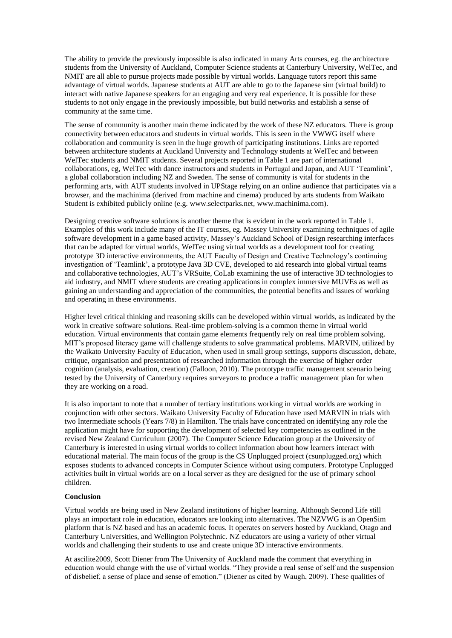The ability to provide the previously impossible is also indicated in many Arts courses, eg. the architecture students from the University of Auckland, Computer Science students at Canterbury University, WelTec, and NMIT are all able to pursue projects made possible by virtual worlds. Language tutors report this same advantage of virtual worlds. Japanese students at AUT are able to go to the Japanese sim (virtual build) to interact with native Japanese speakers for an engaging and very real experience. It is possible for these students to not only engage in the previously impossible, but build networks and establish a sense of community at the same time.

The sense of community is another main theme indicated by the work of these NZ educators. There is group connectivity between educators and students in virtual worlds. This is seen in the VWWG itself where collaboration and community is seen in the huge growth of participating institutions. Links are reported between architecture students at Auckland University and Technology students at WelTec and between WelTec students and NMIT students. Several projects reported in Table 1 are part of international collaborations, eg, WelTec with dance instructors and students in Portugal and Japan, and AUT "Teamlink", a global collaboration including NZ and Sweden. The sense of community is vital for students in the performing arts, with AUT students involved in UPStage relying on an online audience that participates via a browser, and the machinima (derived from machine and cinema) produced by arts students from Waikato Student is exhibited publicly online (e.g. www.selectparks.net, www.machinima.com).

Designing creative software solutions is another theme that is evident in the work reported in Table 1. Examples of this work include many of the IT courses, eg. Massey University examining techniques of agile software development in a game based activity, Massey"s Auckland School of Design researching interfaces that can be adapted for virtual worlds, WelTec using virtual worlds as a development tool for creating prototype 3D interactive environments, the AUT Faculty of Design and Creative Technology"s continuing investigation of 'Teamlink', a prototype Java 3D CVE, developed to aid research into global virtual teams and collaborative technologies, AUT"s VRSuite, CoLab examining the use of interactive 3D technologies to aid industry, and NMIT where students are creating applications in complex immersive MUVEs as well as gaining an understanding and appreciation of the communities, the potential benefits and issues of working and operating in these environments.

Higher level critical thinking and reasoning skills can be developed within virtual worlds, as indicated by the work in creative software solutions. Real-time problem-solving is a common theme in virtual world education. Virtual environments that contain game elements frequently rely on real time problem solving. MIT"s proposed literacy game will challenge students to solve grammatical problems. MARVIN, utilized by the Waikato University Faculty of Education, when used in small group settings, supports discussion, debate, critique, organisation and presentation of researched information through the exercise of higher order cognition (analysis, evaluation, creation) (Falloon, 2010). The prototype traffic management scenario being tested by the University of Canterbury requires surveyors to produce a traffic management plan for when they are working on a road.

It is also important to note that a number of tertiary institutions working in virtual worlds are working in conjunction with other sectors. Waikato University Faculty of Education have used MARVIN in trials with two Intermediate schools (Years 7/8) in Hamilton. The trials have concentrated on identifying any role the application might have for supporting the development of selected key competencies as outlined in the revised New Zealand Curriculum (2007). The Computer Science Education group at the University of Canterbury is interested in using virtual worlds to collect information about how learners interact with educational material. The main focus of the group is the CS Unplugged project (csunplugged.org) which exposes students to advanced concepts in Computer Science without using computers. Prototype Unplugged activities built in virtual worlds are on a local server as they are designed for the use of primary school children.

### **Conclusion**

Virtual worlds are being used in New Zealand institutions of higher learning. Although Second Life still plays an important role in education, educators are looking into alternatives. The NZVWG is an OpenSim platform that is NZ based and has an academic focus. It operates on servers hosted by Auckland, Otago and Canterbury Universities, and Wellington Polytechnic. NZ educators are using a variety of other virtual worlds and challenging their students to use and create unique 3D interactive environments.

At ascilite2009, Scott Diener from The University of Auckland made the comment that everything in education would change with the use of virtual worlds. "They provide a real sense of self and the suspension of disbelief, a sense of place and sense of emotion." (Diener as cited by Waugh, 2009). These qualities of